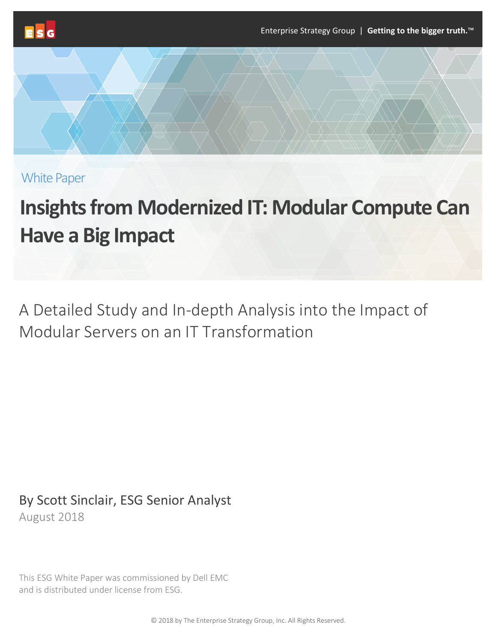

White Paper

# **Insights from Modernized IT: Modular Compute Can Have a Big Impact**

A Detailed Study and In-depth Analysis into the Impact of Modular Servers on an IT Transformation

By Scott Sinclair, ESG Senior Analyst August 2018

This ESG White Paper was commissioned by Dell EMC and is distributed under license from ESG.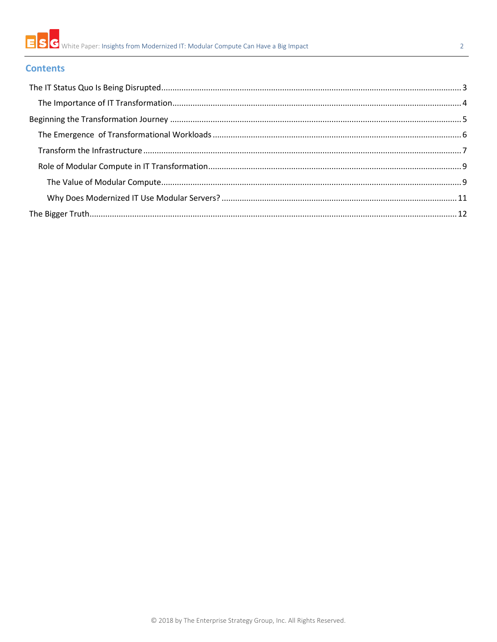

#### $\overline{2}$

### **Contents**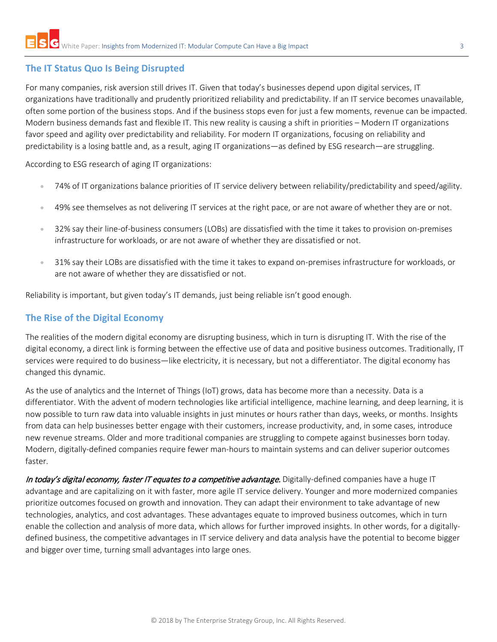## <span id="page-2-0"></span>**The IT Status Quo Is Being Disrupted**

For many companies, risk aversion still drives IT. Given that today's businesses depend upon digital services, IT organizations have traditionally and prudently prioritized reliability and predictability. If an IT service becomes unavailable, often some portion of the business stops. And if the business stops even for just a few moments, revenue can be impacted. Modern business demands fast and flexible IT. This new reality is causing a shift in priorities – Modern IT organizations favor speed and agility over predictability and reliability. For modern IT organizations, focusing on reliability and predictability is a losing battle and, as a result, aging IT organizations—as defined by ESG research—are struggling.

According to ESG research of aging IT organizations:

- 74% of IT organizations balance priorities of IT service delivery between reliability/predictability and speed/agility.
- 49% see themselves as not delivering IT services at the right pace, or are not aware of whether they are or not.
- 32% say their line-of-business consumers (LOBs) are dissatisfied with the time it takes to provision on-premises infrastructure for workloads, or are not aware of whether they are dissatisfied or not.
- 31% say their LOBs are dissatisfied with the time it takes to expand on-premises infrastructure for workloads, or are not aware of whether they are dissatisfied or not.

Reliability is important, but given today's IT demands, just being reliable isn't good enough.

## **The Rise of the Digital Economy**

The realities of the modern digital economy are disrupting business, which in turn is disrupting IT. With the rise of the digital economy, a direct link is forming between the effective use of data and positive business outcomes. Traditionally, IT services were required to do business—like electricity, it is necessary, but not a differentiator. The digital economy has changed this dynamic.

As the use of analytics and the Internet of Things (IoT) grows, data has become more than a necessity. Data is a differentiator. With the advent of modern technologies like artificial intelligence, machine learning, and deep learning, it is now possible to turn raw data into valuable insights in just minutes or hours rather than days, weeks, or months. Insights from data can help businesses better engage with their customers, increase productivity, and, in some cases, introduce new revenue streams. Older and more traditional companies are struggling to compete against businesses born today. Modern, digitally-defined companies require fewer man-hours to maintain systems and can deliver superior outcomes faster.

In today's digital economy, faster IT equates to a competitive advantage. Digitally-defined companies have a huge IT advantage and are capitalizing on it with faster, more agile IT service delivery. Younger and more modernized companies prioritize outcomes focused on growth and innovation. They can adapt their environment to take advantage of new technologies, analytics, and cost advantages. These advantages equate to improved business outcomes, which in turn enable the collection and analysis of more data, which allows for further improved insights. In other words, for a digitallydefined business, the competitive advantages in IT service delivery and data analysis have the potential to become bigger and bigger over time, turning small advantages into large ones.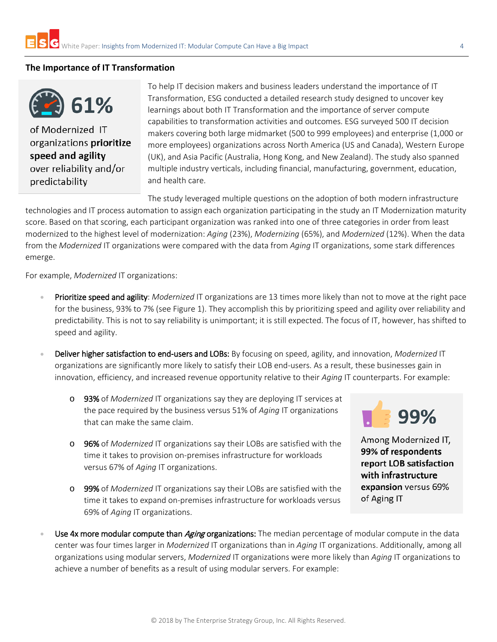#### <span id="page-3-0"></span>**The Importance of IT Transformation**

61%

of Modernized IT organizations prioritize speed and agility over reliability and/or predictability

To help IT decision makers and business leaders understand the importance of IT Transformation, ESG conducted a detailed research study designed to uncover key learnings about both IT Transformation and the importance of server compute capabilities to transformation activities and outcomes. ESG surveyed 500 IT decision makers covering both large midmarket (500 to 999 employees) and enterprise (1,000 or more employees) organizations across North America (US and Canada), Western Europe (UK), and Asia Pacific (Australia, Hong Kong, and New Zealand). The study also spanned multiple industry verticals, including financial, manufacturing, government, education, and health care.

The study leveraged multiple questions on the adoption of both modern infrastructure technologies and IT process automation to assign each organization participating in the study an IT Modernization maturity score. Based on that scoring, each participant organization was ranked into one of three categories in order from least modernized to the highest level of modernization: *Aging* (23%), *Modernizing* (65%), and *Modernized* (12%). When the data from the *Modernized* IT organizations were compared with the data from *Aging* IT organizations, some stark differences emerge.

For example, *Modernized* IT organizations:

- Prioritize speed and agility: *Modernized* IT organizations are 13 times more likely than not to move at the right pace for the business, 93% to 7% (see Figure 1). They accomplish this by prioritizing speed and agility over reliability and predictability. This is not to say reliability is unimportant; it is still expected. The focus of IT, however, has shifted to speed and agility.
- Deliver higher satisfaction to end-users and LOBs: By focusing on speed, agility, and innovation, *Modernized* IT organizations are significantly more likely to satisfy their LOB end-users. As a result, these businesses gain in innovation, efficiency, and increased revenue opportunity relative to their *Aging* IT counterparts. For example:
	- o 93% of *Modernized* IT organizations say they are deploying IT services at the pace required by the business versus 51% of *Aging* IT organizations that can make the same claim.
	- o 96% of *Modernized* IT organizations say their LOBs are satisfied with the time it takes to provision on-premises infrastructure for workloads versus 67% of *Aging* IT organizations.
	- o 99% of *Modernized* IT organizations say their LOBs are satisfied with the time it takes to expand on-premises infrastructure for workloads versus 69% of *Aging* IT organizations.



Among Modernized IT, 99% of respondents report LOB satisfaction with infrastructure expansion versus 69% of Aging IT

Use 4x more modular compute than *Aging* organizations: The median percentage of modular compute in the data center was four times larger in *Modernized* IT organizations than in *Aging* IT organizations. Additionally, among all organizations using modular servers, *Modernized* IT organizations were more likely than *Aging* IT organizations to achieve a number of benefits as a result of using modular servers. For example: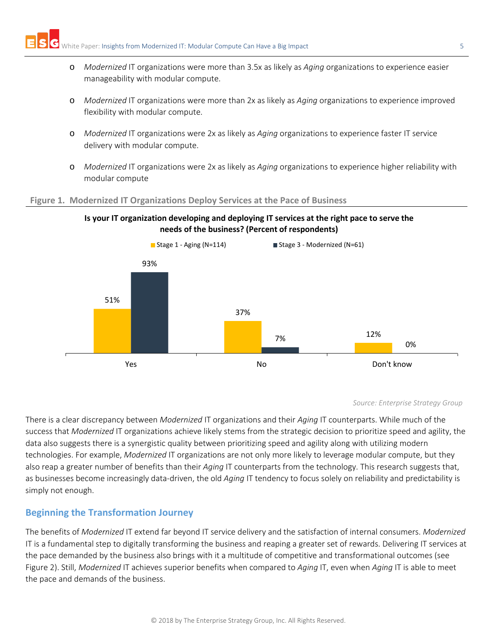- o *Modernized* IT organizations were more than 3.5x as likely as *Aging* organizations to experience easier manageability with modular compute.
- o *Modernized* IT organizations were more than 2x as likely as *Aging* organizations to experience improved flexibility with modular compute.
- o *Modernized* IT organizations were 2x as likely as *Aging* organizations to experience faster IT service delivery with modular compute.
- o *Modernized* IT organizations were 2x as likely as *Aging* organizations to experience higher reliability with modular compute

#### **Figure 1. Modernized IT Organizations Deploy Services at the Pace of Business**





#### *Source: Enterprise Strategy Group*

There is a clear discrepancy between *Modernized* IT organizations and their *Aging* IT counterparts. While much of the success that *Modernized* IT organizations achieve likely stems from the strategic decision to prioritize speed and agility, the data also suggests there is a synergistic quality between prioritizing speed and agility along with utilizing modern technologies. For example, *Modernized* IT organizations are not only more likely to leverage modular compute, but they also reap a greater number of benefits than their *Aging* IT counterparts from the technology. This research suggests that, as businesses become increasingly data-driven, the old *Aging* IT tendency to focus solely on reliability and predictability is simply not enough.

#### <span id="page-4-0"></span>**Beginning the Transformation Journey**

The benefits of *Modernized* IT extend far beyond IT service delivery and the satisfaction of internal consumers. *Modernized*  IT is a fundamental step to digitally transforming the business and reaping a greater set of rewards. Delivering IT services at the pace demanded by the business also brings with it a multitude of competitive and transformational outcomes (see Figure 2). Still, *Modernized* IT achieves superior benefits when compared to *Aging* IT, even when *Aging* IT is able to meet the pace and demands of the business.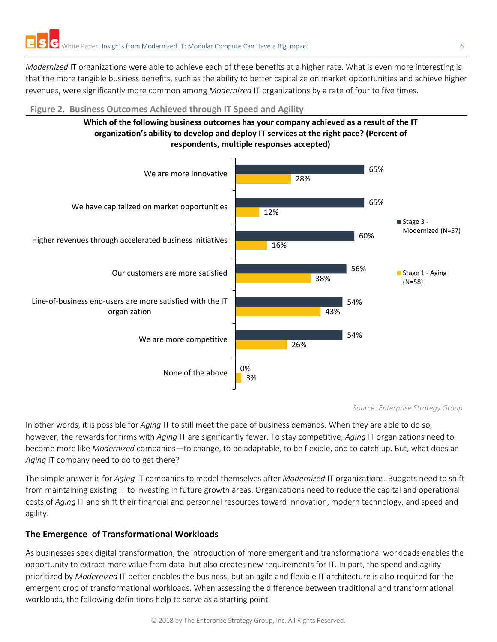*Modernized* IT organizations were able to achieve each of these benefits at a higher rate. What is even more interesting is that the more tangible business benefits, such as the ability to better capitalize on market opportunities and achieve higher revenues, were significantly more common among *Modernized* IT organizations by a rate of four to five times.

#### **Figure 2. Business Outcomes Achieved through IT Speed and Agility**





*Source: Enterprise Strategy Group*

In other words, it is possible for *Aging* IT to still meet the pace of business demands. When they are able to do so, however, the rewards for firms with *Aging* IT are significantly fewer. To stay competitive, *Aging* IT organizations need to become more like *Modernized* companies—to change, to be adaptable, to be flexible, and to catch up. But, what does an Aging IT company need to do to get there?

The simple answer is for *Aging* IT companies to model themselves after *Modernized* IT organizations. Budgets need to shift from maintaining existing IT to investing in future growth areas. Organizations need to reduce the capital and operational costs of *Aging* IT and shift their financial and personnel resources toward innovation, modern technology, and speed and agility.

#### <span id="page-5-0"></span>**The Emergence of Transformational Workloads**

As businesses seek digital transformation, the introduction of more emergent and transformational workloads enables the opportunity to extract more value from data, but also creates new requirements for IT. In part, the speed and agility prioritized by *Modernized* IT better enables the business, but an agile and flexible IT architecture is also required for the emergent crop of transformational workloads. When assessing the difference between traditional and transformational workloads, the following definitions help to serve as a starting point.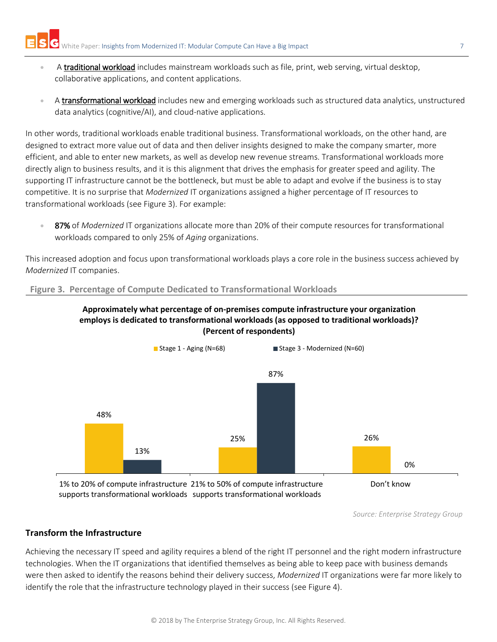- A traditional workload includes mainstream workloads such as file, print, web serving, virtual desktop, collaborative applications, and content applications.
- A transformational workload includes new and emerging workloads such as structured data analytics, unstructured data analytics (cognitive/AI), and cloud-native applications.

In other words, traditional workloads enable traditional business. Transformational workloads, on the other hand, are designed to extract more value out of data and then deliver insights designed to make the company smarter, more efficient, and able to enter new markets, as well as develop new revenue streams. Transformational workloads more directly align to business results, and it is this alignment that drives the emphasis for greater speed and agility. The supporting IT infrastructure cannot be the bottleneck, but must be able to adapt and evolve if the business is to stay competitive. It is no surprise that *Modernized* IT organizations assigned a higher percentage of IT resources to transformational workloads (see Figure 3). For example:

• 87% of *Modernized* IT organizations allocate more than 20% of their compute resources for transformational workloads compared to only 25% of *Aging* organizations.

This increased adoption and focus upon transformational workloads plays a core role in the business success achieved by *Modernized* IT companies.

#### **Figure 3. Percentage of Compute Dedicated to Transformational Workloads**





supports transformational workloads supports transformational workloads

*Source: Enterprise Strategy Group*

#### <span id="page-6-0"></span>**Transform the Infrastructure**

Achieving the necessary IT speed and agility requires a blend of the right IT personnel and the right modern infrastructure technologies. When the IT organizations that identified themselves as being able to keep pace with business demands were then asked to identify the reasons behind their delivery success, *Modernized* IT organizations were far more likely to identify the role that the infrastructure technology played in their success (see Figure 4).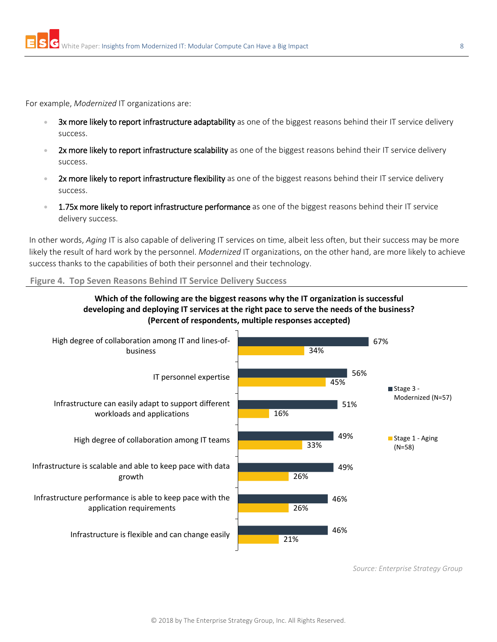For example, *Modernized* IT organizations are:

- 3x more likely to report infrastructure adaptability as one of the biggest reasons behind their IT service delivery success.
- 2x more likely to report infrastructure scalability as one of the biggest reasons behind their IT service delivery success.
- 2x more likely to report infrastructure flexibility as one of the biggest reasons behind their IT service delivery success.
- **1.75x more likely to report infrastructure performance** as one of the biggest reasons behind their IT service delivery success.

In other words, *Aging* IT is also capable of delivering IT services on time, albeit less often, but their success may be more likely the result of hard work by the personnel. *Modernized* IT organizations, on the other hand, are more likely to achieve success thanks to the capabilities of both their personnel and their technology.

**Figure 4. Top Seven Reasons Behind IT Service Delivery Success** 



**Which of the following are the biggest reasons why the IT organization is successful developing and deploying IT services at the right pace to serve the needs of the business? (Percent of respondents, multiple responses accepted)**

*Source: Enterprise Strategy Group*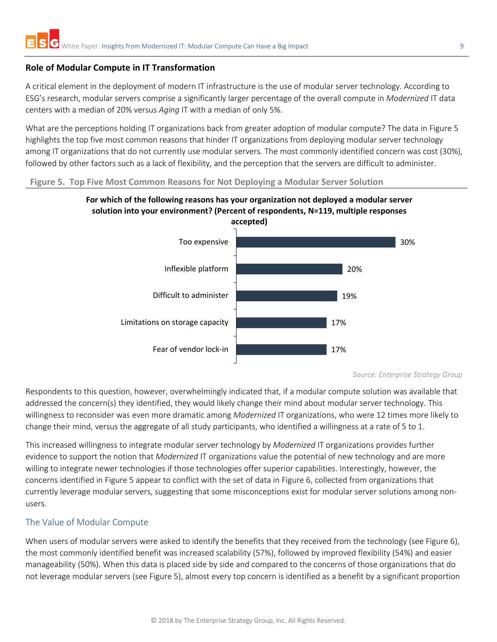#### <span id="page-8-0"></span>**Role of Modular Compute in IT Transformation**

A critical element in the deployment of modern IT infrastructure is the use of modular server technology. According to ESG's research, modular servers comprise a significantly larger percentage of the overall compute in *Modernized* IT data centers with a median of 20% versus *Aging* IT with a median of only 5%.

What are the perceptions holding IT organizations back from greater adoption of modular compute? The data in Figure 5 highlights the top five most common reasons that hinder IT organizations from deploying modular server technology among IT organizations that do not currently use modular servers. The most commonly identified concern was cost (30%), followed by other factors such as a lack of flexibility, and the perception that the servers are difficult to administer.

#### **Figure 5. Top Five Most Common Reasons for Not Deploying a Modular Server Solution**





*Source: Enterprise Strategy Group*

Respondents to this question, however, overwhelmingly indicated that, if a modular compute solution was available that addressed the concern(s) they identified, they would likely change their mind about modular server technology. This willingness to reconsider was even more dramatic among *Modernized* IT organizations, who were 12 times more likely to change their mind, versus the aggregate of all study participants, who identified a willingness at a rate of 5 to 1.

This increased willingness to integrate modular server technology by *Modernized* IT organizations provides further evidence to support the notion that *Modernized* IT organizations value the potential of new technology and are more willing to integrate newer technologies if those technologies offer superior capabilities. Interestingly, however, the concerns identified in Figure 5 appear to conflict with the set of data in Figure 6, collected from organizations that currently leverage modular servers, suggesting that some misconceptions exist for modular server solutions among nonusers.

#### <span id="page-8-1"></span>The Value of Modular Compute

When users of modular servers were asked to identify the benefits that they received from the technology (see Figure 6), the most commonly identified benefit was increased scalability (57%), followed by improved flexibility (54%) and easier manageability (50%). When this data is placed side by side and compared to the concerns of those organizations that do not leverage modular servers (see Figure 5), almost every top concern is identified as a benefit by a significant proportion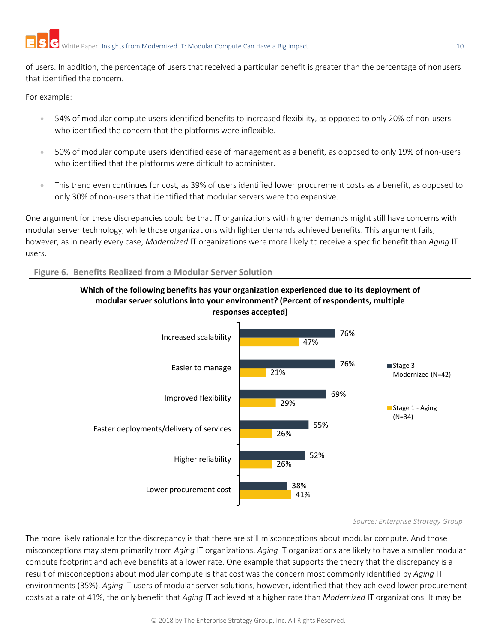of users. In addition, the percentage of users that received a particular benefit is greater than the percentage of nonusers that identified the concern.

For example:

- 54% of modular compute users identified benefits to increased flexibility, as opposed to only 20% of non-users who identified the concern that the platforms were inflexible.
- 50% of modular compute users identified ease of management as a benefit, as opposed to only 19% of non-users who identified that the platforms were difficult to administer.
- This trend even continues for cost, as 39% of users identified lower procurement costs as a benefit, as opposed to only 30% of non-users that identified that modular servers were too expensive.

One argument for these discrepancies could be that IT organizations with higher demands might still have concerns with modular server technology, while those organizations with lighter demands achieved benefits. This argument fails, however, as in nearly every case, *Modernized* IT organizations were more likely to receive a specific benefit than *Aging* IT users.

#### **Figure 6. Benefits Realized from a Modular Server Solution**





#### *Source: Enterprise Strategy Group*

The more likely rationale for the discrepancy is that there are still misconceptions about modular compute. And those misconceptions may stem primarily from *Aging* IT organizations. *Aging* IT organizations are likely to have a smaller modular compute footprint and achieve benefits at a lower rate. One example that supports the theory that the discrepancy is a result of misconceptions about modular compute is that cost was the concern most commonly identified by *Aging* IT environments (35%). *Aging* IT users of modular server solutions, however, identified that they achieved lower procurement costs at a rate of 41%, the only benefit that *Aging* IT achieved at a higher rate than *Modernized* IT organizations. It may be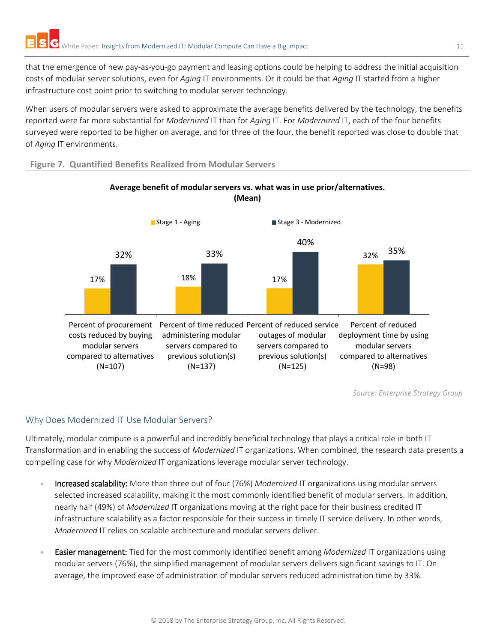that the emergence of new pay-as-you-go payment and leasing options could be helping to address the initial acquisition costs of modular server solutions, even for *Aging* IT environments. Or it could be that *Aging* IT started from a higher infrastructure cost point prior to switching to modular server technology.

When users of modular servers were asked to approximate the average benefits delivered by the technology, the benefits reported were far more substantial for *Modernized* IT than for *Aging* IT. For *Modernized* IT, each of the four benefits surveyed were reported to be higher on average, and for three of the four, the benefit reported was close to double that of *Aging* IT environments.

#### **Figure 7. Quantified Benefits Realized from Modular Servers**



## **Average benefit of modular servers vs. what was in use prior/alternatives. (Mean)**

*Source: Enterprise Strategy Group*

## <span id="page-10-0"></span>Why Does Modernized IT Use Modular Servers?

Ultimately, modular compute is a powerful and incredibly beneficial technology that plays a critical role in both IT Transformation and in enabling the success of *Modernized* IT organizations. When combined, the research data presents a compelling case for why *Modernized* IT organizations leverage modular server technology.

- Increased scalability: More than three out of four (76%) *Modernized* IT organizations using modular servers selected increased scalability, making it the most commonly identified benefit of modular servers. In addition, nearly half (49%) of *Modernized* IT organizations moving at the right pace for their business credited IT infrastructure scalability as a factor responsible for their success in timely IT service delivery. In other words, *Modernized* IT relies on scalable architecture and modular servers deliver.
- Easier management: Tied for the most commonly identified benefit among *Modernized* IT organizations using modular servers (76%), the simplified management of modular servers delivers significant savings to IT. On average, the improved ease of administration of modular servers reduced administration time by 33%.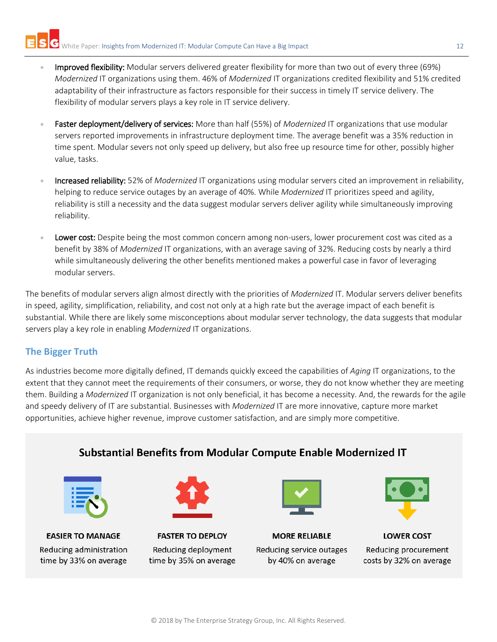- Improved flexibility: Modular servers delivered greater flexibility for more than two out of every three (69%) *Modernized* IT organizations using them. 46% of *Modernized* IT organizations credited flexibility and 51% credited adaptability of their infrastructure as factors responsible for their success in timely IT service delivery. The flexibility of modular servers plays a key role in IT service delivery.
- Faster deployment/delivery of services: More than half (55%) of *Modernized* IT organizations that use modular servers reported improvements in infrastructure deployment time. The average benefit was a 35% reduction in time spent. Modular severs not only speed up delivery, but also free up resource time for other, possibly higher value, tasks.
- Increased reliability: 52% of *Modernized* IT organizations using modular servers cited an improvement in reliability, helping to reduce service outages by an average of 40%. While *Modernized* IT prioritizes speed and agility, reliability is still a necessity and the data suggest modular servers deliver agility while simultaneously improving reliability.
- **Lower cost:** Despite being the most common concern among non-users, lower procurement cost was cited as a benefit by 38% of *Modernized* IT organizations, with an average saving of 32%. Reducing costs by nearly a third while simultaneously delivering the other benefits mentioned makes a powerful case in favor of leveraging modular servers.

The benefits of modular servers align almost directly with the priorities of *Modernized* IT. Modular servers deliver benefits in speed, agility, simplification, reliability, and cost not only at a high rate but the average impact of each benefit is substantial. While there are likely some misconceptions about modular server technology, the data suggests that modular servers play a key role in enabling *Modernized* IT organizations.

## <span id="page-11-0"></span>**The Bigger Truth**

As industries become more digitally defined, IT demands quickly exceed the capabilities of *Aging* IT organizations, to the extent that they cannot meet the requirements of their consumers, or worse, they do not know whether they are meeting them. Building a *Modernized* IT organization is not only beneficial, it has become a necessity. And, the rewards for the agile and speedy delivery of IT are substantial. Businesses with *Modernized* IT are more innovative, capture more market opportunities, achieve higher revenue, improve customer satisfaction, and are simply more competitive.

# Substantial Benefits from Modular Compute Enable Modernized IT

| г |  |
|---|--|
|   |  |
| ۲ |  |
|   |  |
|   |  |

**EASIER TO MANAGE** Reducing administration time by 33% on average



**FASTER TO DEPLOY** Reducing deployment time by 35% on average



**MORE RELIABLE** Reducing service outages by 40% on average



**LOWER COST** Reducing procurement costs by 32% on average